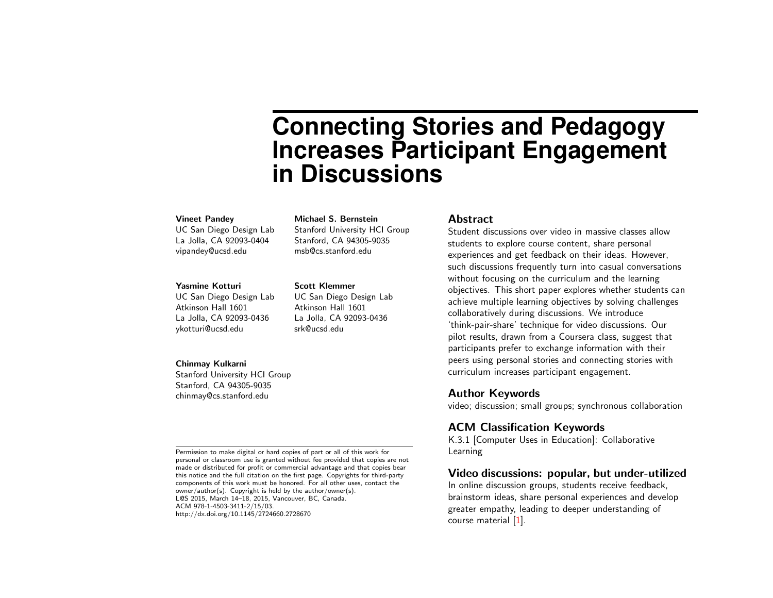# **Connecting Stories and Pedagogy Increases Participant Engagement in Discussions**

#### Vineet Pandey

UC San Diego Design Lab La Jolla, CA 92093-0404 vipandey@ucsd.edu

#### Yasmine Kotturi

UC San Diego Design Lab Atkinson Hall 1601 La Jolla, CA 92093-0436 ykotturi@ucsd.edu

#### Chinmay Kulkarni

Stanford University HCI Group Stanford, CA 94305-9035 chinmay@cs.stanford.edu

Permission to make digital or hard copies of part or all of this work for personal or classroom use is granted without fee provided that copies are not made or distributed for profit or commercial advantage and that copies bear this notice and the full citation on the first page. Copyrights for third-party components of this work must be honored. For all other uses, contact the owner/author(s). Copyright is held by the author/owner(s). L@S 2015, March 14–18, 2015, Vancouver, BC, Canada. ACM 978-1-4503-3411-2/15/03. http://dx.doi.org/10.1145/2724660.2728670

## Michael S. Bernstein

Stanford University HCI Group Stanford, CA 94305-9035 msb@cs.stanford.edu

#### Scott Klemmer

UC San Diego Design Lab Atkinson Hall 1601 La Jolla, CA 92093-0436 srk@ucsd.edu

#### Abstract

Student discussions over video in massive classes allow students to explore course content, share personal experiences and get feedback on their ideas. However, such discussions frequently turn into casual conversations without focusing on the curriculum and the learning objectives. This short paper explores whether students can achieve multiple learning objectives by solving challenges collaboratively during discussions. We introduce 'think-pair-share' technique for video discussions. Our pilot results, drawn from a Coursera class, suggest that participants prefer to exchange information with their peers using personal stories and connecting stories with curriculum increases participant engagement.

#### Author Keywords

video; discussion; small groups; synchronous collaboration

## ACM Classification Keywords

K.3.1 [Computer Uses in Education]: Collaborative Learning

## Video discussions: popular, but under-utilized

In online discussion groups, students receive feedback, brainstorm ideas, share personal experiences and develop greater empathy, leading to deeper understanding of course material [\[1\]](#page-3-0).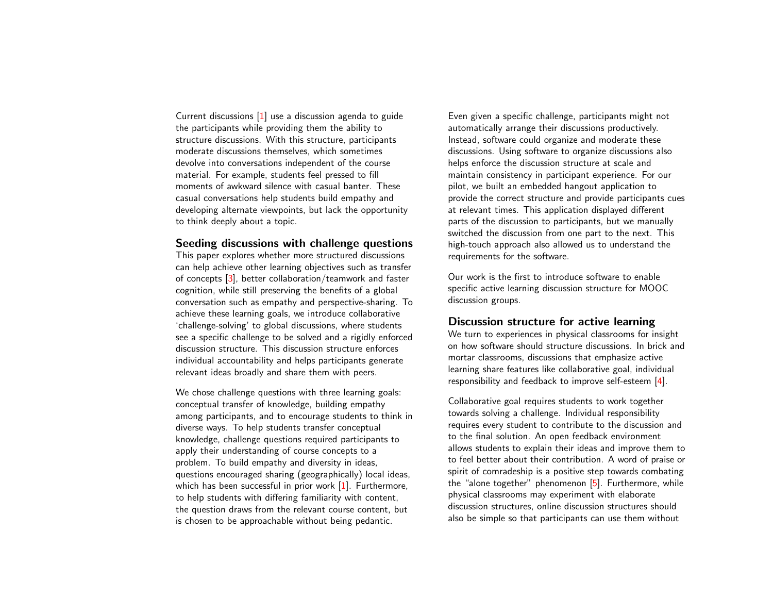Current discussions [\[1\]](#page-3-0) use a discussion agenda to guide the participants while providing them the ability to structure discussions. With this structure, participants moderate discussions themselves, which sometimes devolve into conversations independent of the course material. For example, students feel pressed to fill moments of awkward silence with casual banter. These casual conversations help students build empathy and developing alternate viewpoints, but lack the opportunity to think deeply about a topic.

## Seeding discussions with challenge questions

This paper explores whether more structured discussions can help achieve other learning objectives such as transfer of concepts [\[3\]](#page-3-1), better collaboration/teamwork and faster cognition, while still preserving the benefits of a global conversation such as empathy and perspective-sharing. To achieve these learning goals, we introduce collaborative 'challenge-solving' to global discussions, where students see a specific challenge to be solved and a rigidly enforced discussion structure. This discussion structure enforces individual accountability and helps participants generate relevant ideas broadly and share them with peers.

We chose challenge questions with three learning goals: conceptual transfer of knowledge, building empathy among participants, and to encourage students to think in diverse ways. To help students transfer conceptual knowledge, challenge questions required participants to apply their understanding of course concepts to a problem. To build empathy and diversity in ideas, questions encouraged sharing (geographically) local ideas, which has been successful in prior work [\[1\]](#page-3-0). Furthermore, to help students with differing familiarity with content, the question draws from the relevant course content, but is chosen to be approachable without being pedantic.

Even given a specific challenge, participants might not automatically arrange their discussions productively. Instead, software could organize and moderate these discussions. Using software to organize discussions also helps enforce the discussion structure at scale and maintain consistency in participant experience. For our pilot, we built an embedded hangout application to provide the correct structure and provide participants cues at relevant times. This application displayed different parts of the discussion to participants, but we manually switched the discussion from one part to the next. This high-touch approach also allowed us to understand the requirements for the software.

Our work is the first to introduce software to enable specific active learning discussion structure for MOOC discussion groups.

#### Discussion structure for active learning

We turn to experiences in physical classrooms for insight on how software should structure discussions. In brick and mortar classrooms, discussions that emphasize active learning share features like collaborative goal, individual responsibility and feedback to improve self-esteem [\[4\]](#page-3-2).

Collaborative goal requires students to work together towards solving a challenge. Individual responsibility requires every student to contribute to the discussion and to the final solution. An open feedback environment allows students to explain their ideas and improve them to to feel better about their contribution. A word of praise or spirit of comradeship is a positive step towards combating the "alone together" phenomenon  $[5]$ . Furthermore, while physical classrooms may experiment with elaborate discussion structures, online discussion structures should also be simple so that participants can use them without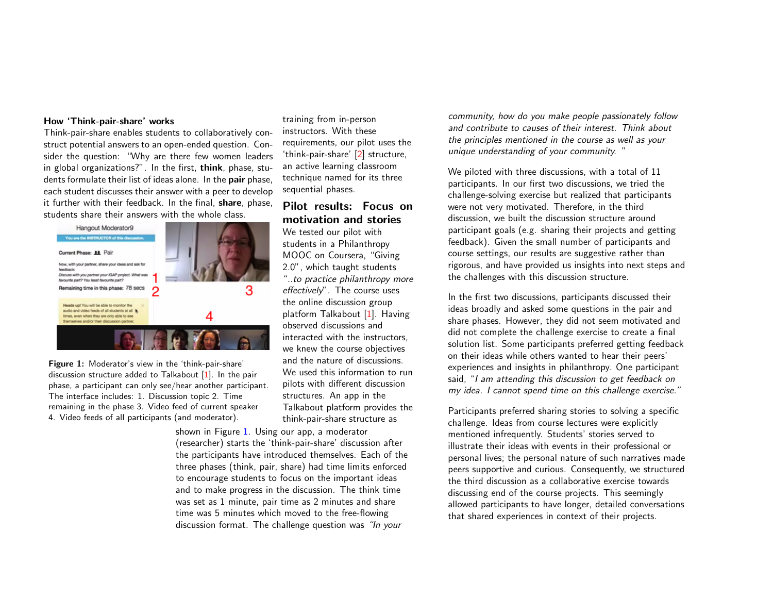#### How 'Think-pair-share' works

Think-pair-share enables students to collaboratively construct potential answers to an open-ended question. Consider the question: "Why are there few women leaders in global organizations?". In the first, think, phase, students formulate their list of ideas alone. In the **pair** phase, each student discusses their answer with a peer to develop it further with their feedback. In the final, **share**, phase, students share their answers with the whole class.



<span id="page-2-0"></span>Figure 1: Moderator's view in the 'think-pair-share' discussion structure added to Talkabout [\[1\]](#page-3-0). In the pair phase, a participant can only see/hear another participant. The interface includes: 1. Discussion topic 2. Time remaining in the phase 3. Video feed of current speaker 4. Video feeds of all participants (and moderator).

training from in-person instructors. With these requirements, our pilot uses the 'think-pair-share' [\[2\]](#page-3-4) structure, an active learning classroom technique named for its three sequential phases.

# Pilot results: Focus on motivation and stories

We tested our pilot with students in a Philanthropy MOOC on Coursera, "Giving 2.0", which taught students "..to practice philanthropy more effectively". The course uses the online discussion group platform Talkabout [\[1\]](#page-3-0). Having observed discussions and interacted with the instructors, we knew the course objectives and the nature of discussions. We used this information to run pilots with different discussion structures. An app in the Talkabout platform provides the think-pair-share structure as

shown in Figure [1.](#page-2-0) Using our app, a moderator (researcher) starts the 'think-pair-share' discussion after the participants have introduced themselves. Each of the three phases (think, pair, share) had time limits enforced to encourage students to focus on the important ideas and to make progress in the discussion. The think time was set as 1 minute, pair time as 2 minutes and share time was 5 minutes which moved to the free-flowing discussion format. The challenge question was "In your

community, how do you make people passionately follow and contribute to causes of their interest. Think about the principles mentioned in the course as well as your unique understanding of your community. "

We piloted with three discussions, with a total of 11 participants. In our first two discussions, we tried the challenge-solving exercise but realized that participants were not very motivated. Therefore, in the third discussion, we built the discussion structure around participant goals (e.g. sharing their projects and getting feedback). Given the small number of participants and course settings, our results are suggestive rather than rigorous, and have provided us insights into next steps and the challenges with this discussion structure.

In the first two discussions, participants discussed their ideas broadly and asked some questions in the pair and share phases. However, they did not seem motivated and did not complete the challenge exercise to create a final solution list. Some participants preferred getting feedback on their ideas while others wanted to hear their peers' experiences and insights in philanthropy. One participant said, "I am attending this discussion to get feedback on my idea. I cannot spend time on this challenge exercise."

Participants preferred sharing stories to solving a specific challenge. Ideas from course lectures were explicitly mentioned infrequently. Students' stories served to illustrate their ideas with events in their professional or personal lives; the personal nature of such narratives made peers supportive and curious. Consequently, we structured the third discussion as a collaborative exercise towards discussing end of the course projects. This seemingly allowed participants to have longer, detailed conversations that shared experiences in context of their projects.